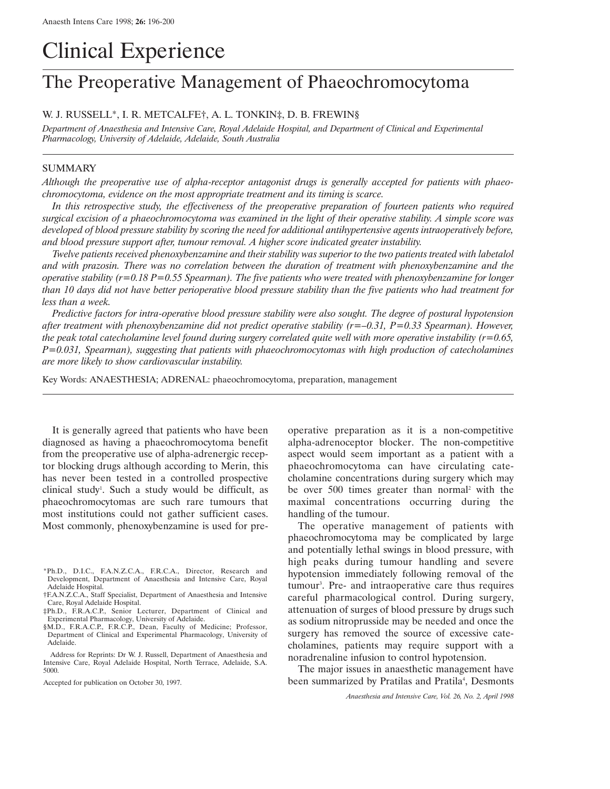# Clinical Experience

## The Preoperative Management of Phaeochromocytoma

### W. J. RUSSELL\*, I. R. METCALFE†, A. L. TONKIN‡, D. B. FREWIN§

*Department of Anaesthesia and Intensive Care, Royal Adelaide Hospital, and Department of Clinical and Experimental Pharmacology, University of Adelaide, Adelaide, South Australia*

## SUMMARY

*Although the preoperative use of alpha-receptor antagonist drugs is generally accepted for patients with phaeochromocytoma, evidence on the most appropriate treatment and its timing is scarce.* 

*In this retrospective study, the effectiveness of the preoperative preparation of fourteen patients who required surgical excision of a phaeochromocytoma was examined in the light of their operative stability. A simple score was developed of blood pressure stability by scoring the need for additional antihypertensive agents intraoperatively before, and blood pressure support after, tumour removal. A higher score indicated greater instability.* 

*Twelve patients received phenoxybenzamine and their stability was superior to the two patients treated with labetalol and with prazosin. There was no correlation between the duration of treatment with phenoxybenzamine and the operative stability (r=0.18 P=0.55 Spearman). The five patients who were treated with phenoxybenzamine for longer than 10 days did not have better perioperative blood pressure stability than the five patients who had treatment for less than a week.*

*Predictive factors for intra-operative blood pressure stability were also sought. The degree of postural hypotension after treatment with phenoxybenzamine did not predict operative stability (r=–0.31, P=0.33 Spearman). However, the peak total catecholamine level found during surgery correlated quite well with more operative instability (r=0.65, P=0.031, Spearman), suggesting that patients with phaeochromocytomas with high production of catecholamines are more likely to show cardiovascular instability.*

Key Words: ANAESTHESIA; ADRENAL: phaeochromocytoma, preparation, management

It is generally agreed that patients who have been diagnosed as having a phaeochromocytoma benefit from the preoperative use of alpha-adrenergic receptor blocking drugs although according to Merin, this has never been tested in a controlled prospective clinical study<sup>1</sup>. Such a study would be difficult, as phaeochromocytomas are such rare tumours that most institutions could not gather sufficient cases. Most commonly, phenoxybenzamine is used for pre-

Address for Reprints: Dr W. J. Russell, Department of Anaesthesia and Intensive Care, Royal Adelaide Hospital, North Terrace, Adelaide, S.A. 5000.

Accepted for publication on October 30, 1997.

operative preparation as it is a non-competitive alpha-adrenoceptor blocker. The non-competitive aspect would seem important as a patient with a phaeochromocytoma can have circulating catecholamine concentrations during surgery which may be over 500 times greater than normal<sup>2</sup> with the maximal concentrations occurring during the handling of the tumour.

The operative management of patients with phaeochromocytoma may be complicated by large and potentially lethal swings in blood pressure, with high peaks during tumour handling and severe hypotension immediately following removal of the tumour3 . Pre- and intraoperative care thus requires careful pharmacological control. During surgery, attenuation of surges of blood pressure by drugs such as sodium nitroprusside may be needed and once the surgery has removed the source of excessive catecholamines, patients may require support with a noradrenaline infusion to control hypotension.

The major issues in anaesthetic management have been summarized by Pratilas and Pratila<sup>4</sup>, Desmonts

<sup>\*</sup>Ph.D., D.I.C., F.A.N.Z.C.A., F.R.C.A., Director, Research and Development, Department of Anaesthesia and Intensive Care, Royal Adelaide Hospital.

<sup>†</sup>F.A.N.Z.C.A., Staff Specialist, Department of Anaesthesia and Intensive Care, Royal Adelaide Hospital.

<sup>‡</sup>Ph.D., F.R.A.C.P., Senior Lecturer, Department of Clinical and Experimental Pharmacology, University of Adelaide.

<sup>§</sup>M.D., F.R.A.C.P., F.R.C.P., Dean, Faculty of Medicine; Professor, Department of Clinical and Experimental Pharmacology, University of Adelaide.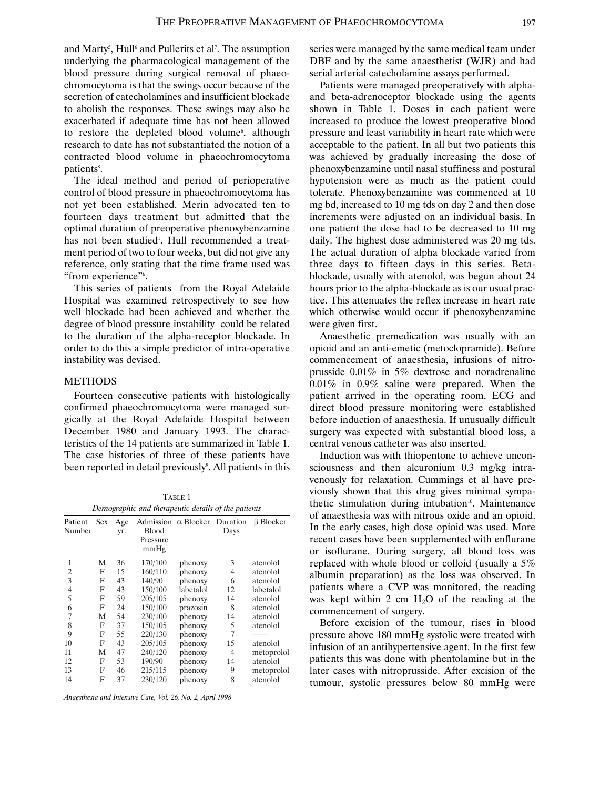and Marty<sup>5</sup>, Hull<sup>6</sup> and Pullerits et al<sup>7</sup>. The assumption underlying the pharmacological management of the blood pressure during surgical removal of phaeochromocytoma is that the swings occur because of the secretion of catecholamines and insufficient blockade to abolish the responses. These swings may also be exacerbated if adequate time has not been allowed to restore the depleted blood volume<sup>6</sup>, although research to date has not substantiated the notion of a contracted blood volume in phaeochromocytoma patients<sup>8</sup>.

The ideal method and period of perioperative control of blood pressure in phaeochromocytoma has not yet been established. Merin advocated ten to fourteen days treatment but admitted that the optimal duration of preoperative phenoxybenzamine has not been studied<sup>1</sup>. Hull recommended a treatment period of two to four weeks, but did not give any reference, only stating that the time frame used was "from experience"<sup>6</sup>.

This series of patients from the Royal Adelaide Hospital was examined retrospectively to see how well blockade had been achieved and whether the degree of blood pressure instability could be related to the duration of the alpha-receptor blockade. In order to do this a simple predictor of intra-operative instability was devised.

#### METHODS

Fourteen consecutive patients with histologically confirmed phaeochromocytoma were managed surgically at the Royal Adelaide Hospital between December 1980 and January 1993. The characteristics of the 14 patients are summarized in Table 1. The case histories of three of these patients have been reported in detail previously<sup>9</sup>. All patients in this

TABLE 1 *Demographic and therapeutic details of the patients*

| Patient<br>Number | Sex | Age<br>yr. | Blood<br>Pressure<br>mmHg | Admission $\alpha$ Blocker Duration | Days | <b>B</b> Blocker |
|-------------------|-----|------------|---------------------------|-------------------------------------|------|------------------|
| 1                 | М   | 36         | 170/100                   | phenoxy                             | 3    | atenolol         |
| $\overline{2}$    | F   | 15         | 160/110                   | phenoxy                             | 4    | atenolol         |
| 3                 | F   | 43         | 140/90                    | phenoxy                             | 6    | atenolol         |
| 4                 | F   | 43         | 150/100                   | labetalol                           | 12   | labetalol        |
| 5                 | F   | 59         | 205/105                   | phenoxy                             | 14   | atenolol         |
| 6                 | F   | 24         | 150/100                   | prazosin                            | 8    | atenolol         |
| 7                 | М   | 54         | 230/100                   | phenoxy                             | 14   | atenolol         |
| 8                 | F   | 37         | 150/105                   | phenoxy                             | 5    | atenolol         |
| 9                 | F   | 55         | 220/130                   | phenoxy                             | 7    |                  |
| 10                | F   | 43         | 205/105                   | phenoxy                             | 15   | atenolol         |
| 11                | М   | 47         | 240/120                   | phenoxy                             | 4    | metoprolol       |
| 12                | F   | 53         | 190/90                    | phenoxy                             | 14   | atenolol         |
| 13                | F   | 46         | 215/115                   | phenoxy                             | 9    | metoprolol       |
| 14                | F   | 37         | 230/120                   | phenoxy                             | 8    | atenolol         |

*Anaesthesia and Intensive Care, Vol. 26, No. 2, April 1998*

series were managed by the same medical team under DBF and by the same anaesthetist (WJR) and had serial arterial catecholamine assays performed.

Patients were managed preoperatively with alphaand beta-adrenoceptor blockade using the agents shown in Table 1. Doses in each patient were increased to produce the lowest preoperative blood pressure and least variability in heart rate which were acceptable to the patient. In all but two patients this was achieved by gradually increasing the dose of phenoxybenzamine until nasal stuffiness and postural hypotension were as much as the patient could tolerate. Phenoxybenzamine was commenced at 10 mg bd, increased to 10 mg tds on day 2 and then dose increments were adjusted on an individual basis. In one patient the dose had to be decreased to 10 mg daily. The highest dose administered was 20 mg tds. The actual duration of alpha blockade varied from three days to fifteen days in this series. Betablockade, usually with atenolol, was begun about 24 hours prior to the alpha-blockade as is our usual practice. This attenuates the reflex increase in heart rate which otherwise would occur if phenoxybenzamine were given first.

Anaesthetic premedication was usually with an opioid and an anti-emetic (metoclopramide). Before commencement of anaesthesia, infusions of nitroprusside 0.01% in 5% dextrose and noradrenaline 0.01% in 0.9% saline were prepared. When the patient arrived in the operating room, ECG and direct blood pressure monitoring were established before induction of anaesthesia. If unusually difficult surgery was expected with substantial blood loss, a central venous catheter was also inserted.

Induction was with thiopentone to achieve unconsciousness and then alcuronium 0.3 mg/kg intravenously for relaxation. Cummings et al have previously shown that this drug gives minimal sympathetic stimulation during intubation<sup>10</sup>. Maintenance of anaesthesia was with nitrous oxide and an opioid. In the early cases, high dose opioid was used. More recent cases have been supplemented with enflurane or isoflurane. During surgery, all blood loss was replaced with whole blood or colloid (usually a 5% albumin preparation) as the loss was observed. In patients where a CVP was monitored, the reading was kept within 2 cm  $H<sub>2</sub>O$  of the reading at the commencement of surgery.

Before excision of the tumour, rises in blood pressure above 180 mmHg systolic were treated with infusion of an antihypertensive agent. In the first few patients this was done with phentolamine but in the later cases with nitroprusside. After excision of the tumour, systolic pressures below 80 mmHg were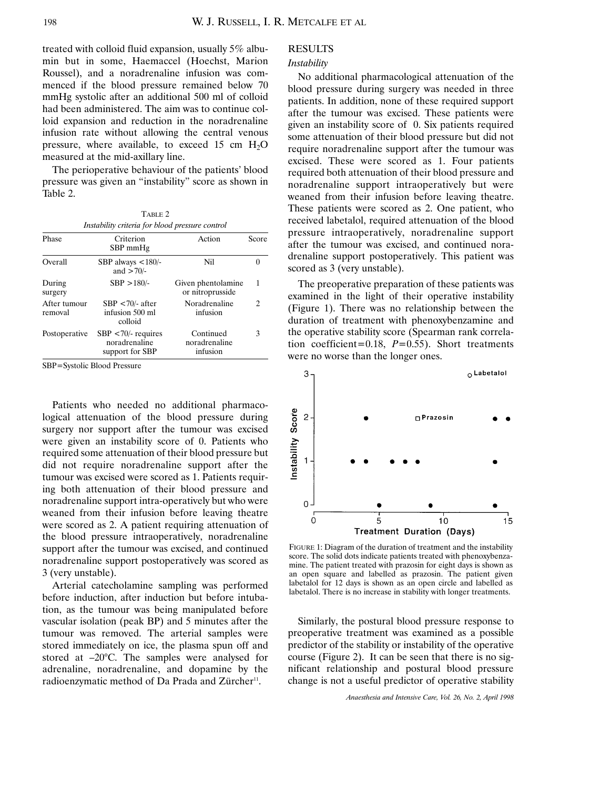treated with colloid fluid expansion, usually 5% albumin but in some, Haemaccel (Hoechst, Marion Roussel), and a noradrenaline infusion was commenced if the blood pressure remained below 70 mmHg systolic after an additional 500 ml of colloid had been administered. The aim was to continue colloid expansion and reduction in the noradrenaline infusion rate without allowing the central venous pressure, where available, to exceed  $15 \text{ cm } H_2\text{O}$ measured at the mid-axillary line.

The perioperative behaviour of the patients' blood pressure was given an "instability" score as shown in Table 2.

TABLE 2 *Instability criteria for blood pressure control*

| Phase                   | Criterion<br>SBP mmHg                                      | Action                                 | Score |
|-------------------------|------------------------------------------------------------|----------------------------------------|-------|
| Overall                 | SBP always $\langle 180 \rangle$ -<br>and $>70/-$          | Nil                                    |       |
| During<br>surgery       | SBP > 180/                                                 | Given phentolamine<br>or nitroprusside | 1     |
| After tumour<br>removal | $SBP < 70$ /- after<br>infusion 500 ml<br>colloid          | Noradrenaline<br>infusion              | 2     |
| Postoperative           | $SBP < 70$ /- requires<br>noradrenaline<br>support for SBP | Continued<br>noradrenaline<br>infusion | 3     |

SBP=Systolic Blood Pressure

Patients who needed no additional pharmacological attenuation of the blood pressure during surgery nor support after the tumour was excised were given an instability score of 0. Patients who required some attenuation of their blood pressure but did not require noradrenaline support after the tumour was excised were scored as 1. Patients requiring both attenuation of their blood pressure and noradrenaline support intra-operatively but who were weaned from their infusion before leaving theatre were scored as 2. A patient requiring attenuation of the blood pressure intraoperatively, noradrenaline support after the tumour was excised, and continued noradrenaline support postoperatively was scored as 3 (very unstable).

Arterial catecholamine sampling was performed before induction, after induction but before intubation, as the tumour was being manipulated before vascular isolation (peak BP) and 5 minutes after the tumour was removed. The arterial samples were stored immediately on ice, the plasma spun off and stored at –20°C. The samples were analysed for adrenaline, noradrenaline, and dopamine by the radioenzymatic method of Da Prada and Zürcher<sup>11</sup>.

## **RESULTS**

#### *Instability*

No additional pharmacological attenuation of the blood pressure during surgery was needed in three patients. In addition, none of these required support after the tumour was excised. These patients were given an instability score of 0. Six patients required some attenuation of their blood pressure but did not require noradrenaline support after the tumour was excised. These were scored as 1. Four patients required both attenuation of their blood pressure and noradrenaline support intraoperatively but were weaned from their infusion before leaving theatre. These patients were scored as 2. One patient, who received labetalol, required attenuation of the blood pressure intraoperatively, noradrenaline support after the tumour was excised, and continued noradrenaline support postoperatively. This patient was scored as 3 (very unstable).

The preoperative preparation of these patients was examined in the light of their operative instability (Figure 1). There was no relationship between the duration of treatment with phenoxybenzamine and the operative stability score (Spearman rank correlation coefficient=0.18, *P*=0.55). Short treatments were no worse than the longer ones.



FIGURE 1: Diagram of the duration of treatment and the instability score. The solid dots indicate patients treated with phenoxybenzamine. The patient treated with prazosin for eight days is shown as an open square and labelled as prazosin. The patient given labetalol for 12 days is shown as an open circle and labelled as labetalol. There is no increase in stability with longer treatments.

Similarly, the postural blood pressure response to preoperative treatment was examined as a possible predictor of the stability or instability of the operative course (Figure 2). It can be seen that there is no significant relationship and postural blood pressure change is not a useful predictor of operative stability

*Anaesthesia and Intensive Care, Vol. 26, No. 2, April 1998*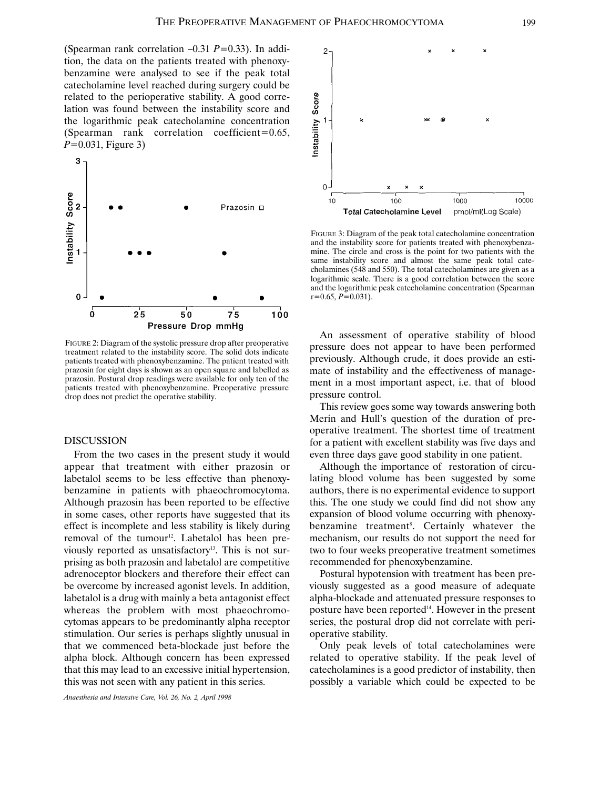(Spearman rank correlation  $-0.31$   $P=0.33$ ). In addition, the data on the patients treated with phenoxybenzamine were analysed to see if the peak total catecholamine level reached during surgery could be related to the perioperative stability. A good correlation was found between the instability score and the logarithmic peak catecholamine concentration (Spearman rank correlation coefficient=0.65, *P*=0.031, Figure 3)



FIGURE 2: Diagram of the systolic pressure drop after preoperative treatment related to the instability score. The solid dots indicate patients treated with phenoxybenzamine. The patient treated with prazosin for eight days is shown as an open square and labelled as prazosin. Postural drop readings were available for only ten of the patients treated with phenoxybenzamine. Preoperative pressure drop does not predict the operative stability.

#### DISCUSSION

From the two cases in the present study it would appear that treatment with either prazosin or labetalol seems to be less effective than phenoxybenzamine in patients with phaeochromocytoma. Although prazosin has been reported to be effective in some cases, other reports have suggested that its effect is incomplete and less stability is likely during removal of the tumour<sup>12</sup>. Labetalol has been previously reported as unsatisfactory $13$ . This is not surprising as both prazosin and labetalol are competitive adrenoceptor blockers and therefore their effect can be overcome by increased agonist levels. In addition, labetalol is a drug with mainly a beta antagonist effect whereas the problem with most phaeochromocytomas appears to be predominantly alpha receptor stimulation. Our series is perhaps slightly unusual in that we commenced beta-blockade just before the alpha block. Although concern has been expressed that this may lead to an excessive initial hypertension, this was not seen with any patient in this series.



FIGURE 3: Diagram of the peak total catecholamine concentration and the instability score for patients treated with phenoxybenzamine. The circle and cross is the point for two patients with the same instability score and almost the same peak total catecholamines (548 and 550). The total catecholamines are given as a logarithmic scale. There is a good correlation between the score and the logarithmic peak catecholamine concentration (Spearman r=0.65, *P*=0.031).

An assessment of operative stability of blood pressure does not appear to have been performed previously. Although crude, it does provide an estimate of instability and the effectiveness of management in a most important aspect, i.e. that of blood pressure control.

This review goes some way towards answering both Merin and Hull's question of the duration of preoperative treatment. The shortest time of treatment for a patient with excellent stability was five days and even three days gave good stability in one patient.

Although the importance of restoration of circulating blood volume has been suggested by some authors, there is no experimental evidence to support this. The one study we could find did not show any expansion of blood volume occurring with phenoxybenzamine treatment<sup>8</sup>. Certainly whatever the mechanism, our results do not support the need for two to four weeks preoperative treatment sometimes recommended for phenoxybenzamine.

Postural hypotension with treatment has been previously suggested as a good measure of adequate alpha-blockade and attenuated pressure responses to posture have been reported14. However in the present series, the postural drop did not correlate with perioperative stability.

Only peak levels of total catecholamines were related to operative stability. If the peak level of catecholamines is a good predictor of instability, then possibly a variable which could be expected to be